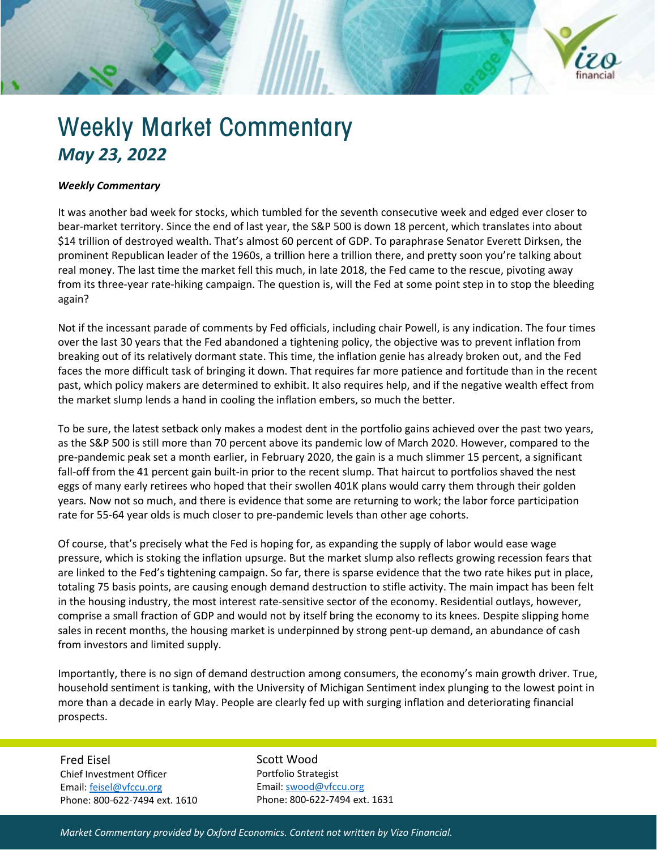

## *Weekly Commentary*

It was another bad week for stocks, which tumbled for the seventh consecutive week and edged ever closer to bear-market territory. Since the end of last year, the S&P 500 is down 18 percent, which translates into about \$14 trillion of destroyed wealth. That's almost 60 percent of GDP. To paraphrase Senator Everett Dirksen, the prominent Republican leader of the 1960s, a trillion here a trillion there, and pretty soon you're talking about real money. The last time the market fell this much, in late 2018, the Fed came to the rescue, pivoting away from its three-year rate-hiking campaign. The question is, will the Fed at some point step in to stop the bleeding again?

Not if the incessant parade of comments by Fed officials, including chair Powell, is any indication. The four times over the last 30 years that the Fed abandoned a tightening policy, the objective was to prevent inflation from breaking out of its relatively dormant state. This time, the inflation genie has already broken out, and the Fed faces the more difficult task of bringing it down. That requires far more patience and fortitude than in the recent past, which policy makers are determined to exhibit. It also requires help, and if the negative wealth effect from the market slump lends a hand in cooling the inflation embers, so much the better.

To be sure, the latest setback only makes a modest dent in the portfolio gains achieved over the past two years, as the S&P 500 is still more than 70 percent above its pandemic low of March 2020. However, compared to the pre-pandemic peak set a month earlier, in February 2020, the gain is a much slimmer 15 percent, a significant fall-off from the 41 percent gain built-in prior to the recent slump. That haircut to portfolios shaved the nest eggs of many early retirees who hoped that their swollen 401K plans would carry them through their golden years. Now not so much, and there is evidence that some are returning to work; the labor force participation rate for 55-64 year olds is much closer to pre-pandemic levels than other age cohorts.

Of course, that's precisely what the Fed is hoping for, as expanding the supply of labor would ease wage pressure, which is stoking the inflation upsurge. But the market slump also reflects growing recession fears that are linked to the Fed's tightening campaign. So far, there is sparse evidence that the two rate hikes put in place, totaling 75 basis points, are causing enough demand destruction to stifle activity. The main impact has been felt in the housing industry, the most interest rate-sensitive sector of the economy. Residential outlays, however, comprise a small fraction of GDP and would not by itself bring the economy to its knees. Despite slipping home sales in recent months, the housing market is underpinned by strong pent-up demand, an abundance of cash from investors and limited supply.

Importantly, there is no sign of demand destruction among consumers, the economy's main growth driver. True, household sentiment is tanking, with the University of Michigan Sentiment index plunging to the lowest point in more than a decade in early May. People are clearly fed up with surging inflation and deteriorating financial prospects.

Fred Eisel Chief Investment Officer Email[: feisel@vfccu.org](mailto:feisel@vfccu.org) Phone: 800-622-7494 ext. 1610 Scott Wood Portfolio Strategist Email[: swood@vfccu.org](mailto:swood@vfccu.org) Phone: 800-622-7494 ext. 1631

*Market Commentary provided by Oxford Economics. Content not written by Vizo Financial.*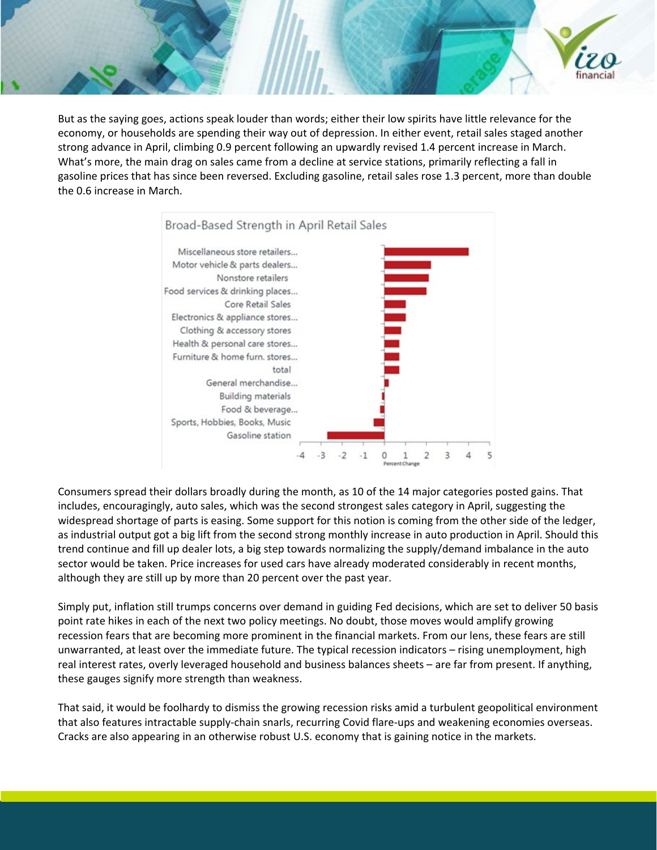

But as the saying goes, actions speak louder than words; either their low spirits have little relevance for the economy, or households are spending their way out of depression. In either event, retail sales staged another strong advance in April, climbing 0.9 percent following an upwardly revised 1.4 percent increase in March. What's more, the main drag on sales came from a decline at service stations, primarily reflecting a fall in gasoline prices that has since been reversed. Excluding gasoline, retail sales rose 1.3 percent, more than double the 0.6 increase in March.



Consumers spread their dollars broadly during the month, as 10 of the 14 major categories posted gains. That includes, encouragingly, auto sales, which was the second strongest sales category in April, suggesting the widespread shortage of parts is easing. Some support for this notion is coming from the other side of the ledger, as industrial output got a big lift from the second strong monthly increase in auto production in April. Should this trend continue and fill up dealer lots, a big step towards normalizing the supply/demand imbalance in the auto sector would be taken. Price increases for used cars have already moderated considerably in recent months, although they are still up by more than 20 percent over the past year.

Simply put, inflation still trumps concerns over demand in guiding Fed decisions, which are set to deliver 50 basis point rate hikes in each of the next two policy meetings. No doubt, those moves would amplify growing recession fears that are becoming more prominent in the financial markets. From our lens, these fears are still unwarranted, at least over the immediate future. The typical recession indicators – rising unemployment, high real interest rates, overly leveraged household and business balances sheets – are far from present. If anything, these gauges signify more strength than weakness.

That said, it would be foolhardy to dismiss the growing recession risks amid a turbulent geopolitical environment that also features intractable supply-chain snarls, recurring Covid flare-ups and weakening economies overseas. Cracks are also appearing in an otherwise robust U.S. economy that is gaining notice in the markets.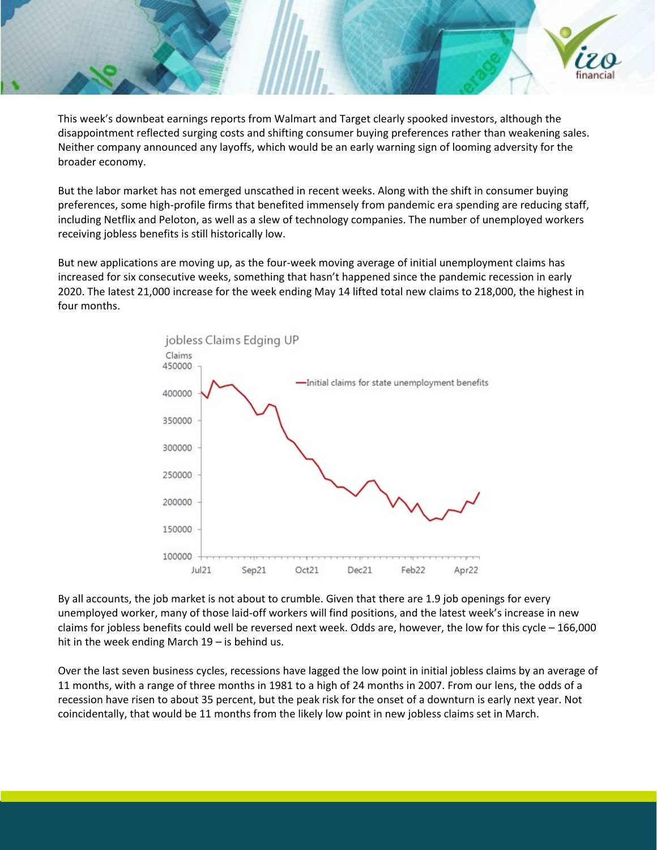

This week's downbeat earnings reports from Walmart and Target clearly spooked investors, although the disappointment reflected surging costs and shifting consumer buying preferences rather than weakening sales. Neither company announced any layoffs, which would be an early warning sign of looming adversity for the broader economy.

But the labor market has not emerged unscathed in recent weeks. Along with the shift in consumer buying preferences, some high-profile firms that benefited immensely from pandemic era spending are reducing staff, including Netflix and Peloton, as well as a slew of technology companies. The number of unemployed workers receiving jobless benefits is still historically low.

But new applications are moving up, as the four-week moving average of initial unemployment claims has increased for six consecutive weeks, something that hasn't happened since the pandemic recession in early 2020. The latest 21,000 increase for the week ending May 14 lifted total new claims to 218,000, the highest in four months.



By all accounts, the job market is not about to crumble. Given that there are 1.9 job openings for every unemployed worker, many of those laid-off workers will find positions, and the latest week's increase in new claims for jobless benefits could well be reversed next week. Odds are, however, the low for this cycle – 166,000 hit in the week ending March 19 – is behind us.

Over the last seven business cycles, recessions have lagged the low point in initial jobless claims by an average of 11 months, with a range of three months in 1981 to a high of 24 months in 2007. From our lens, the odds of a recession have risen to about 35 percent, but the peak risk for the onset of a downturn is early next year. Not coincidentally, that would be 11 months from the likely low point in new jobless claims set in March.